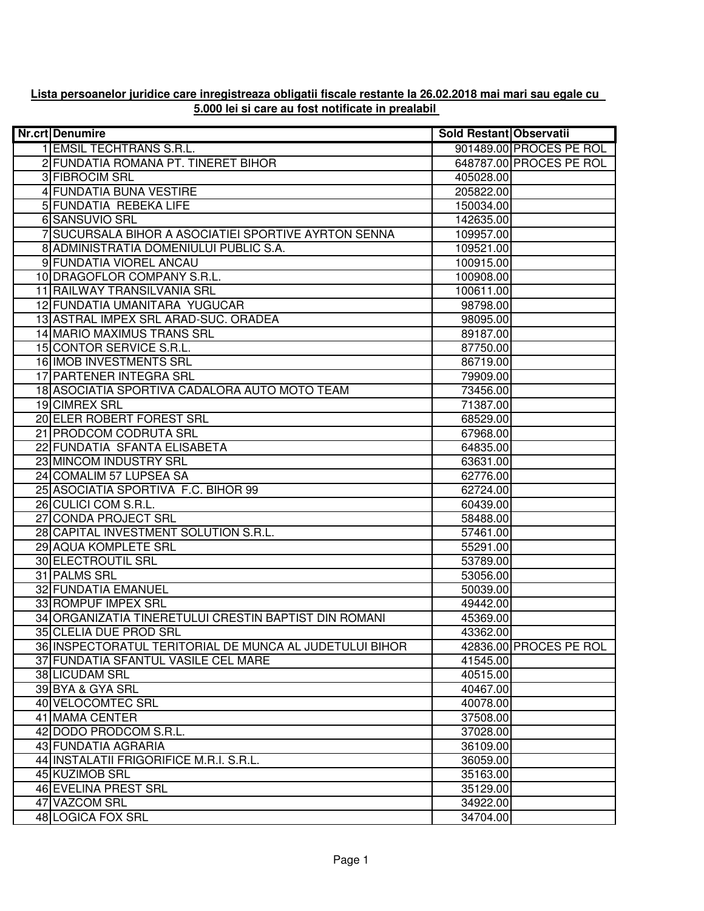| Nr.crt Denumire                                         | Sold Restant Observatii |                         |
|---------------------------------------------------------|-------------------------|-------------------------|
| 1 EMSIL TECHTRANS S.R.L.                                |                         | 901489.00 PROCES PE ROL |
| 2 FUNDATIA ROMANA PT. TINERET BIHOR                     |                         | 648787.00 PROCES PE ROL |
| 3 FIBROCIM SRL                                          | 405028.00               |                         |
| <b>4 FUNDATIA BUNA VESTIRE</b>                          | 205822.00               |                         |
| <b>5 FUNDATIA REBEKA LIFE</b>                           | 150034.00               |                         |
| 6 SANSUVIO SRL                                          | 142635.00               |                         |
| 7 SUCURSALA BIHOR A ASOCIATIEI SPORTIVE AYRTON SENNA    | 109957.00               |                         |
| 8 ADMINISTRATIA DOMENIULUI PUBLIC S.A.                  | 109521.00               |                         |
| 9 FUNDATIA VIOREL ANCAU                                 | 100915.00               |                         |
| 10 DRAGOFLOR COMPANY S.R.L.                             | 100908.00               |                         |
| 11 RAILWAY TRANSILVANIA SRL                             | 100611.00               |                         |
| 12 FUNDATIA UMANITARA YUGUCAR                           | 98798.00                |                         |
| 13 ASTRAL IMPEX SRL ARAD-SUC. ORADEA                    | 98095.00                |                         |
| 14 MARIO MAXIMUS TRANS SRL                              | 89187.00                |                         |
| 15 CONTOR SERVICE S.R.L.                                | 87750.00                |                         |
| 16 IMOB INVESTMENTS SRL                                 | 86719.00                |                         |
| 17 PARTENER INTEGRA SRL                                 | 79909.00                |                         |
| 18 ASOCIATIA SPORTIVA CADALORA AUTO MOTO TEAM           | 73456.00                |                         |
| 19 CIMREX SRL                                           | 71387.00                |                         |
| 20 ELER ROBERT FOREST SRL                               | 68529.00                |                         |
| 21 PRODCOM CODRUTA SRL                                  | 67968.00                |                         |
| 22 FUNDATIA SFANTA ELISABETA                            | 64835.00                |                         |
| 23 MINCOM INDUSTRY SRL                                  | 63631.00                |                         |
| 24 COMALIM 57 LUPSEA SA                                 | 62776.00                |                         |
| 25 ASOCIATIA SPORTIVA F.C. BIHOR 99                     | 62724.00                |                         |
| 26 CULICI COM S.R.L.                                    | 60439.00                |                         |
| 27 CONDA PROJECT SRL                                    | 58488.00                |                         |
| 28 CAPITAL INVESTMENT SOLUTION S.R.L.                   | 57461.00                |                         |
| 29 AQUA KOMPLETE SRL                                    | 55291.00                |                         |
| <b>30 ELECTROUTIL SRL</b>                               | 53789.00                |                         |
| 31 PALMS SRL                                            | 53056.00                |                         |
| 32 FUNDATIA EMANUEL                                     | 50039.00                |                         |
| 33 ROMPUF IMPEX SRL                                     | 49442.00                |                         |
| 34 ORGANIZATIA TINERETULUI CRESTIN BAPTIST DIN ROMANI   | 45369.00                |                         |
| 35 CLELIA DUE PROD SRL                                  | 43362.00                |                         |
| 36 INSPECTORATUL TERITORIAL DE MUNCA AL JUDETULUI BIHOR |                         | 42836.00 PROCES PE ROL  |
| 37 FUNDATIA SFANTUL VASILE CEL MARE                     | 41545.00                |                         |
| 38 LICUDAM SRL                                          | 40515.00                |                         |
| 39 BYA & GYA SRL                                        | 40467.00                |                         |
| 40 VELOCOMTEC SRL                                       | 40078.00                |                         |
| 41 MAMA CENTER                                          | 37508.00                |                         |
| 42 DODO PRODCOM S.R.L.                                  | 37028.00                |                         |
| 43 FUNDATIA AGRARIA                                     | 36109.00                |                         |
| 44 INSTALATII FRIGORIFICE M.R.I. S.R.L.                 | 36059.00                |                         |
| 45 KUZIMOB SRL                                          | 35163.00                |                         |
| 46 EVELINA PREST SRL                                    | 35129.00                |                         |
| 47 VAZCOM SRL                                           | 34922.00                |                         |
| 48 LOGICA FOX SRL                                       | 34704.00                |                         |

## **Lista persoanelor juridice care inregistreaza obligatii fiscale restante la 26.02.2018 mai mari sau egale cu 5.000 lei si care au fost notificate in prealabil**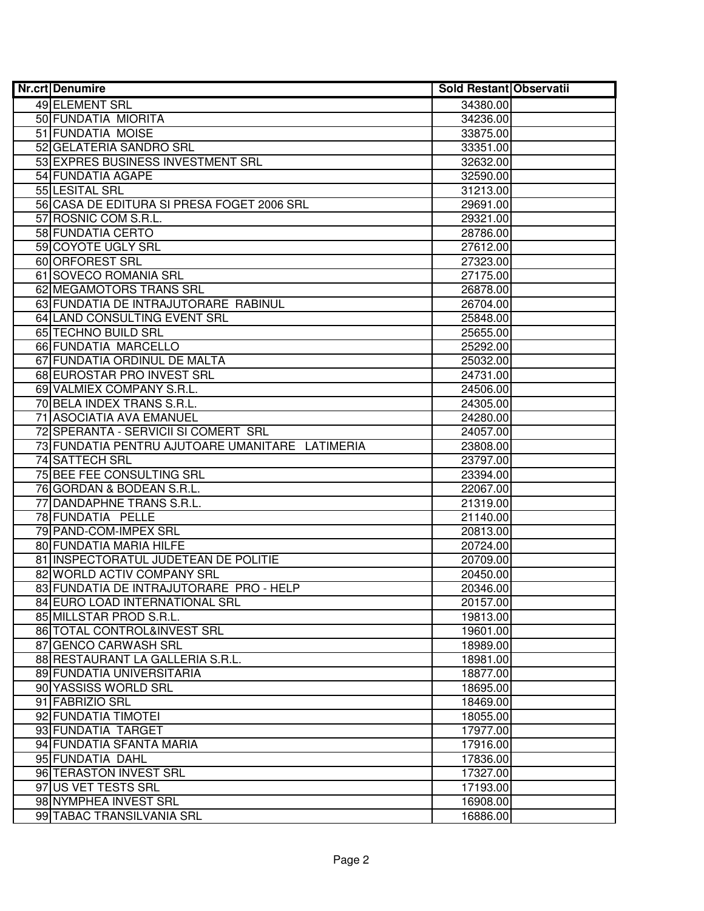| Nr.crt Denumire                                 | Sold Restant Observatii |
|-------------------------------------------------|-------------------------|
| 49 ELEMENT SRL                                  | 34380.00                |
| 50 FUNDATIA MIORITA                             | 34236.00                |
| 51 FUNDATIA MOISE                               | 33875.00                |
| 52 GELATERIA SANDRO SRL                         | 33351.00                |
| 53 EXPRES BUSINESS INVESTMENT SRL               | 32632.00                |
| 54 FUNDATIA AGAPE                               | 32590.00                |
| 55 LESITAL SRL                                  | 31213.00                |
| 56 CASA DE EDITURA SI PRESA FOGET 2006 SRL      | 29691.00                |
| 57 ROSNIC COM S.R.L.                            | 29321.00                |
| 58 FUNDATIA CERTO                               | 28786.00                |
| 59 COYOTE UGLY SRL                              | 27612.00                |
| 60 ORFOREST SRL                                 | 27323.00                |
| 61 SOVECO ROMANIA SRL                           | 27175.00                |
| 62 MEGAMOTORS TRANS SRL                         | 26878.00                |
| 63 FUNDATIA DE INTRAJUTORARE RABINUL            | 26704.00                |
| 64 LAND CONSULTING EVENT SRL                    | 25848.00                |
| 65 TECHNO BUILD SRL                             | 25655.00                |
| 66 FUNDATIA MARCELLO                            | 25292.00                |
| 67 FUNDATIA ORDINUL DE MALTA                    | 25032.00                |
| 68 EUROSTAR PRO INVEST SRL                      | 24731.00                |
| 69 VALMIEX COMPANY S.R.L.                       | 24506.00                |
| 70 BELA INDEX TRANS S.R.L.                      | 24305.00                |
| 71 ASOCIATIA AVA EMANUEL                        | 24280.00                |
| 72 SPERANTA - SERVICII SI COMERT SRL            | 24057.00                |
| 73 FUNDATIA PENTRU AJUTOARE UMANITARE LATIMERIA | 23808.00                |
| 74 SATTECH SRL                                  | 23797.00                |
| 75 BEE FEE CONSULTING SRL                       | 23394.00                |
| 76 GORDAN & BODEAN S.R.L.                       | 22067.00                |
| 77 DANDAPHNE TRANS S.R.L.                       | 21319.00                |
| 78 FUNDATIA PELLE                               | 21140.00                |
| 79 PAND-COM-IMPEX SRL                           | 20813.00                |
| 80 FUNDATIA MARIA HILFE                         | 20724.00                |
| 81 INSPECTORATUL JUDETEAN DE POLITIE            | 20709.00                |
| 82 WORLD ACTIV COMPANY SRL                      | 20450.00                |
| 83 FUNDATIA DE INTRAJUTORARE PRO - HELP         | 20346.00                |
| 84 EURO LOAD INTERNATIONAL SRL                  | 20157.00                |
| 85 MILLSTAR PROD S.R.L.                         | 19813.00                |
| 86 TOTAL CONTROL&INVEST SRL                     | 19601.00                |
| 87 GENCO CARWASH SRL                            | 18989.00                |
| 88 RESTAURANT LA GALLERIA S.R.L.                | 18981.00                |
| 89 FUNDATIA UNIVERSITARIA                       | 18877.00                |
| 90 YASSISS WORLD SRL                            | 18695.00                |
| 91 FABRIZIO SRL                                 | 18469.00                |
| 92 FUNDATIA TIMOTEI                             | 18055.00                |
| 93 FUNDATIA TARGET                              | 17977.00                |
| 94 FUNDATIA SFANTA MARIA                        | 17916.00                |
| 95 FUNDATIA DAHL                                | 17836.00                |
| 96 TERASTON INVEST SRL                          | 17327.00                |
| 97 US VET TESTS SRL                             | 17193.00                |
| 98 NYMPHEA INVEST SRL                           | 16908.00                |
| 99 TABAC TRANSILVANIA SRL                       | 16886.00                |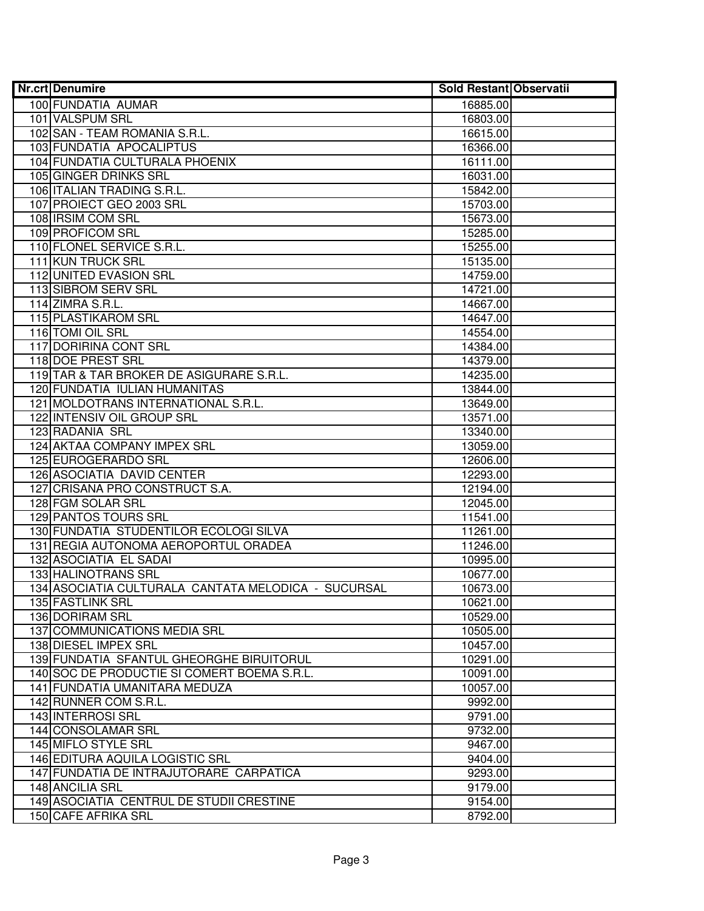| <b>Nr.crt Denumire</b>                                | Sold Restant Observatii |
|-------------------------------------------------------|-------------------------|
| 100 FUNDATIA AUMAR                                    | 16885.00                |
| 101 VALSPUM SRL                                       | 16803.00                |
| 102 SAN - TEAM ROMANIA S.R.L.                         | 16615.00                |
| 103 FUNDATIA APOCALIPTUS                              | 16366.00                |
| 104 FUNDATIA CULTURALA PHOENIX                        | 16111.00                |
| 105 GINGER DRINKS SRL                                 | 16031.00                |
| 106 ITALIAN TRADING S.R.L.                            | 15842.00                |
| 107 PROIECT GEO 2003 SRL                              | 15703.00                |
| 108 IRSIM COM SRL                                     | 15673.00                |
| 109 PROFICOM SRL                                      | 15285.00                |
| 110 FLONEL SERVICE S.R.L.                             | 15255.00                |
| <b>111 KUN TRUCK SRL</b>                              | 15135.00                |
| <b>112 UNITED EVASION SRL</b>                         | 14759.00                |
| 113 SIBROM SERV SRL                                   | 14721.00                |
| 114 ZIMRA S.R.L.                                      | 14667.00                |
| 115 PLASTIKAROM SRL                                   | 14647.00                |
| 116 TOMI OIL SRL                                      | 14554.00                |
| 117 DORIRINA CONT SRL                                 | 14384.00                |
| 118 DOE PREST SRL                                     | 14379.00                |
| 119 TAR & TAR BROKER DE ASIGURARE S.R.L.              | 14235.00                |
| 120 FUNDATIA IULIAN HUMANITAS                         | 13844.00                |
| 121 MOLDOTRANS INTERNATIONAL S.R.L.                   | 13649.00                |
| 122 INTENSIV OIL GROUP SRL                            | 13571.00                |
| 123 RADANIA SRL                                       | 13340.00                |
| 124 AKTAA COMPANY IMPEX SRL                           | 13059.00                |
| 125 EUROGERARDO SRL                                   | 12606.00                |
| 126 ASOCIATIA DAVID CENTER                            | 12293.00                |
| 127 CRISANA PRO CONSTRUCT S.A.                        | 12194.00                |
| 128 FGM SOLAR SRL                                     | 12045.00                |
| 129 PANTOS TOURS SRL                                  | 11541.00                |
| 130 FUNDATIA STUDENTILOR ECOLOGI SILVA                | 11261.00                |
| 131 REGIA AUTONOMA AEROPORTUL ORADEA                  | 11246.00                |
| 132 ASOCIATIA EL SADAI                                | 10995.00                |
| <b>133 HALINOTRANS SRL</b>                            | 10677.00                |
| 134   ASOCIATIA CULTURALA CANTATA MELODICA - SUCURSAL | 10673.00                |
| 135 FASTLINK SRL                                      | 10621.00                |
| 136 DORIRAM SRL                                       | 10529.00                |
| <b>137 COMMUNICATIONS MEDIA SRL</b>                   | 10505.00                |
| 138 DIESEL IMPEX SRL                                  | 10457.00                |
| 139 FUNDATIA SFANTUL GHEORGHE BIRUITORUL              | 10291.00                |
| 140 SOC DE PRODUCTIE SI COMERT BOEMA S.R.L.           | 10091.00                |
| 141 FUNDATIA UMANITARA MEDUZA                         | 10057.00                |
| 142 RUNNER COM S.R.L.                                 | 9992.00                 |
| 143 INTERROSI SRL                                     | 9791.00                 |
| 144 CONSOLAMAR SRL                                    | 9732.00                 |
| 145 MIFLO STYLE SRL                                   | 9467.00                 |
| 146 EDITURA AQUILA LOGISTIC SRL                       | 9404.00                 |
| 147 FUNDATIA DE INTRAJUTORARE CARPATICA               | 9293.00                 |
| 148 ANCILIA SRL                                       | 9179.00                 |
| 149 ASOCIATIA CENTRUL DE STUDII CRESTINE              | 9154.00                 |
| 150 CAFE AFRIKA SRL                                   | 8792.00                 |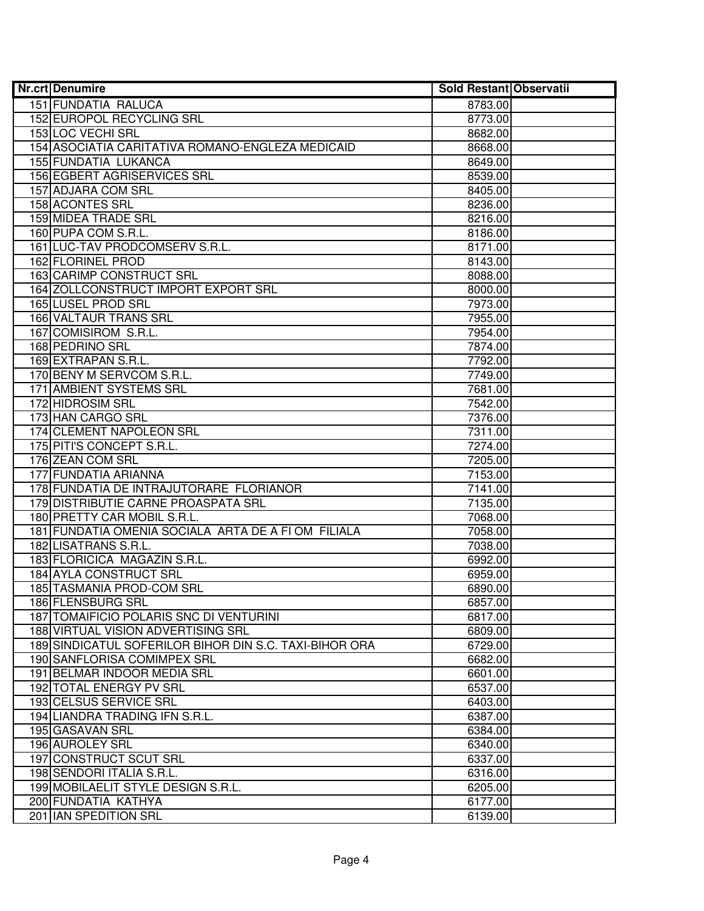| <b>Nr.crt Denumire</b>                                 | <b>Sold Restant Observatii</b> |  |
|--------------------------------------------------------|--------------------------------|--|
| 151 FUNDATIA RALUCA                                    | 8783.00                        |  |
| 152 EUROPOL RECYCLING SRL                              | 8773.00                        |  |
| 153 LOC VECHI SRL                                      | 8682.00                        |  |
| 154 ASOCIATIA CARITATIVA ROMANO-ENGLEZA MEDICAID       | 8668.00                        |  |
| 155 FUNDATIA LUKANCA                                   | 8649.00                        |  |
| 156 EGBERT AGRISERVICES SRL                            | 8539.00                        |  |
| 157 ADJARA COM SRL                                     | 8405.00                        |  |
| 158 ACONTES SRL                                        | 8236.00                        |  |
| <b>159 MIDEA TRADE SRL</b>                             | 8216.00                        |  |
| 160 PUPA COM S.R.L.                                    | 8186.00                        |  |
| 161 LUC-TAV PRODCOMSERV S.R.L.                         | 8171.00                        |  |
| <b>162 FLORINEL PROD</b>                               | 8143.00                        |  |
| <b>163 CARIMP CONSTRUCT SRL</b>                        | 8088.00                        |  |
| 164 ZOLLCONSTRUCT IMPORT EXPORT SRL                    | 8000.00                        |  |
| 165 LUSEL PROD SRL                                     | 7973.00                        |  |
| 166 VALTAUR TRANS SRL                                  | 7955.00                        |  |
| 167 COMISIROM S.R.L.                                   | 7954.00                        |  |
| 168 PEDRINO SRL                                        | 7874.00                        |  |
| 169 EXTRAPAN S.R.L.                                    | 7792.00                        |  |
| 170 BENY M SERVCOM S.R.L.                              | 7749.00                        |  |
| 171 AMBIENT SYSTEMS SRL                                | 7681.00                        |  |
| 172 HIDROSIM SRL                                       | 7542.00                        |  |
| 173 HAN CARGO SRL                                      | 7376.00                        |  |
| 174 CLEMENT NAPOLEON SRL                               | 7311.00                        |  |
| 175 PITI'S CONCEPT S.R.L.                              | 7274.00                        |  |
| 176 ZEAN COM SRL                                       | 7205.00                        |  |
| 177 FUNDATIA ARIANNA                                   | 7153.00                        |  |
| 178 FUNDATIA DE INTRAJUTORARE FLORIANOR                | 7141.00                        |  |
| 179 DISTRIBUTIE CARNE PROASPATA SRL                    | 7135.00                        |  |
| 180 PRETTY CAR MOBIL S.R.L.                            | 7068.00                        |  |
| 181 FUNDATIA OMENIA SOCIALA ARTA DE A FI OM FILIALA    | 7058.00                        |  |
| 182 LISATRANS S.R.L.                                   | 7038.00                        |  |
| 183 FLORICICA MAGAZIN S.R.L.                           | 6992.00                        |  |
| 184 AYLA CONSTRUCT SRL                                 | 6959.00                        |  |
| 185 TASMANIA PROD-COM SRL                              | 6890.00                        |  |
| 186 FLENSBURG SRL                                      | 6857.00                        |  |
| 187 TOMAIFICIO POLARIS SNC DI VENTURINI                | 6817.00                        |  |
| 188 VIRTUAL VISION ADVERTISING SRL                     | 6809.00                        |  |
| 189 SINDICATUL SOFERILOR BIHOR DIN S.C. TAXI-BIHOR ORA | 6729.00                        |  |
| 190 SANFLORISA COMIMPEX SRL                            | 6682.00                        |  |
| 191 BELMAR INDOOR MEDIA SRL                            | 6601.00                        |  |
| 192 TOTAL ENERGY PV SRL                                | 6537.00                        |  |
| 193 CELSUS SERVICE SRL                                 | 6403.00                        |  |
| 194 LIANDRA TRADING IFN S.R.L.                         | 6387.00                        |  |
| 195 GASAVAN SRL                                        | 6384.00                        |  |
| 196 AUROLEY SRL                                        | 6340.00                        |  |
| 197 CONSTRUCT SCUT SRL                                 | 6337.00                        |  |
| 198 SENDORI ITALIA S.R.L.                              | 6316.00                        |  |
| 199 MOBILAELIT STYLE DESIGN S.R.L.                     | 6205.00                        |  |
| 200 FUNDATIA KATHYA                                    | 6177.00                        |  |
| 201 IAN SPEDITION SRL                                  | 6139.00                        |  |